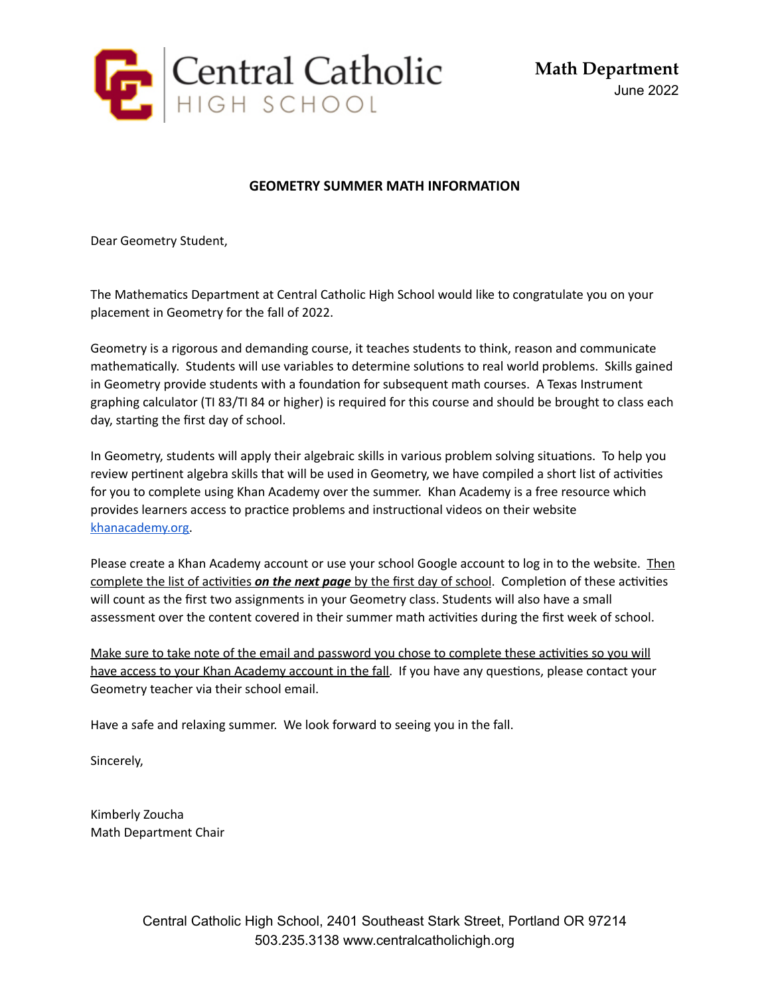

**Math Department** June 2022

## **GEOMETRY SUMMER MATH INFORMATION**

Dear Geometry Student,

The Mathematics Department at Central Catholic High School would like to congratulate you on your placement in Geometry for the fall of 2022.

Geometry is a rigorous and demanding course, it teaches students to think, reason and communicate mathematically. Students will use variables to determine solutions to real world problems. Skills gained in Geometry provide students with a foundation for subsequent math courses. A Texas Instrument graphing calculator (TI 83/TI 84 or higher) is required for this course and should be brought to class each day, starting the first day of school.

In Geometry, students will apply their algebraic skills in various problem solving situations. To help you review pertinent algebra skills that will be used in Geometry, we have compiled a short list of activities for you to complete using Khan Academy over the summer. Khan Academy is a free resource which provides learners access to practice problems and instructional videos on their website [khanacademy.org.](http://khanacademy.org/)

Please create a Khan Academy account or use your school Google account to log in to the website. Then complete the list of activities *on the next page* by the first day of school. Completion of these activities will count as the first two assignments in your Geometry class. Students will also have a small assessment over the content covered in their summer math activities during the first week of school.

Make sure to take note of the email and password you chose to complete these activities so you will have access to your Khan Academy account in the fall. If you have any questions, please contact your Geometry teacher via their school email.

Have a safe and relaxing summer. We look forward to seeing you in the fall.

Sincerely,

Kimberly Zoucha Math Department Chair